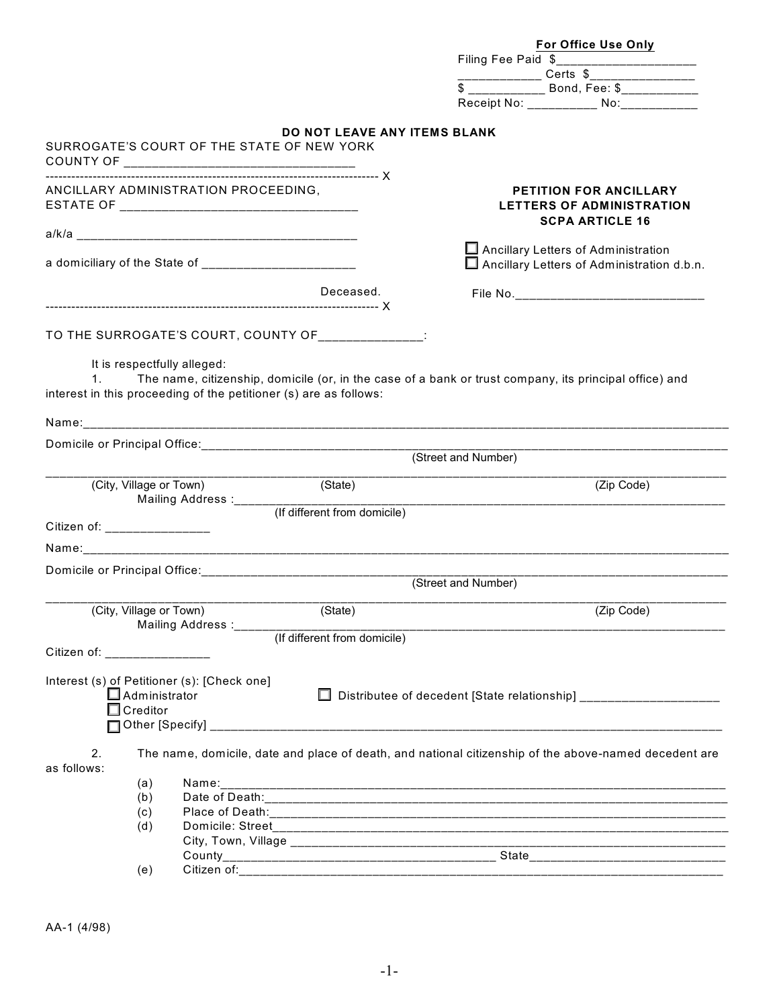|                              |                                                                        |                                                    | <b>For Office Use Only</b>                                                                                |
|------------------------------|------------------------------------------------------------------------|----------------------------------------------------|-----------------------------------------------------------------------------------------------------------|
|                              |                                                                        |                                                    | Filing Fee Paid \$_________________________                                                               |
|                              |                                                                        |                                                    |                                                                                                           |
|                              |                                                                        |                                                    | \$ ______________ Bond, Fee: \$_____________                                                              |
|                              |                                                                        |                                                    | Receipt No: ____________ No: __________                                                                   |
|                              | SURROGATE'S COURT OF THE STATE OF NEW YORK                             | <b>DO NOT LEAVE ANY ITEMS BLANK</b>                |                                                                                                           |
|                              |                                                                        |                                                    |                                                                                                           |
|                              | ANCILLARY ADMINISTRATION PROCEEDING.                                   |                                                    | <b>PETITION FOR ANCILLARY</b><br><b>LETTERS OF ADMINISTRATION</b><br><b>SCPA ARTICLE 16</b>               |
|                              |                                                                        |                                                    |                                                                                                           |
|                              |                                                                        |                                                    | Ancillary Letters of Administration<br>Ancillary Letters of Administration d.b.n.                         |
|                              |                                                                        | Deceased.                                          |                                                                                                           |
|                              |                                                                        | TO THE SURROGATE'S COURT, COUNTY OF _____________: |                                                                                                           |
|                              |                                                                        |                                                    |                                                                                                           |
|                              | It is respectfully alleged:                                            |                                                    |                                                                                                           |
|                              | interest in this proceeding of the petitioner (s) are as follows:      |                                                    | 1. The name, citizenship, domicile (or, in the case of a bank or trust company, its principal office) and |
|                              |                                                                        |                                                    |                                                                                                           |
|                              |                                                                        |                                                    |                                                                                                           |
|                              |                                                                        |                                                    |                                                                                                           |
|                              |                                                                        |                                                    | (Street and Number)                                                                                       |
|                              | (City, Village or Town)                                                | (State)                                            | (Zip Code)                                                                                                |
|                              |                                                                        |                                                    |                                                                                                           |
| Citizen of: _______________  |                                                                        |                                                    |                                                                                                           |
|                              |                                                                        |                                                    |                                                                                                           |
|                              |                                                                        |                                                    |                                                                                                           |
|                              |                                                                        |                                                    | (Street and Number)                                                                                       |
|                              |                                                                        |                                                    |                                                                                                           |
| (City, Village or Town)      |                                                                        | (State)                                            | (Zip Code)                                                                                                |
|                              |                                                                        |                                                    |                                                                                                           |
| Citizen of: ________________ |                                                                        |                                                    |                                                                                                           |
| $\Box$ Creditor              | Interest (s) of Petitioner (s): [Check one]<br>$\square$ Administrator |                                                    | □ Distributee of decedent [State relationship] _________________________________                          |
| 2.<br>as follows:            |                                                                        |                                                    | The name, domicile, date and place of death, and national citizenship of the above-named decedent are     |
| (a)                          |                                                                        |                                                    |                                                                                                           |
| (b)                          |                                                                        |                                                    |                                                                                                           |
| (c)                          |                                                                        |                                                    |                                                                                                           |
| (d)                          |                                                                        |                                                    |                                                                                                           |
|                              |                                                                        |                                                    |                                                                                                           |
| (e)                          |                                                                        |                                                    |                                                                                                           |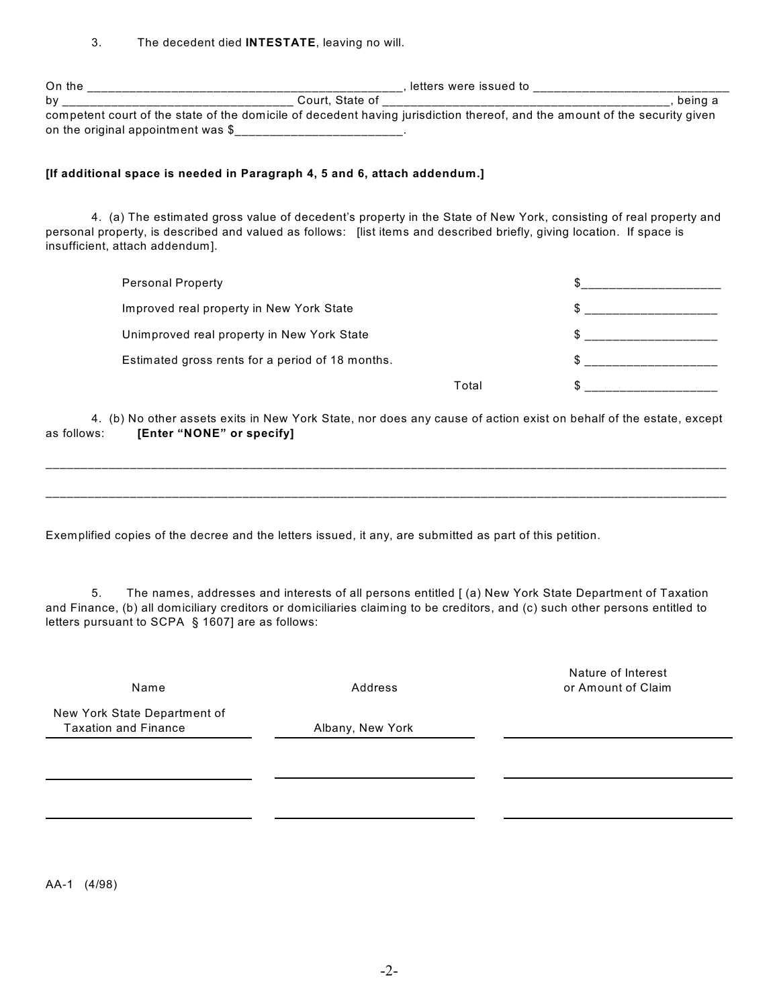| 3. | The decedent died INTESTATE, leaving no will. |  |
|----|-----------------------------------------------|--|
|----|-----------------------------------------------|--|

| On the                                                                                                                     | . letters were issued to |         |
|----------------------------------------------------------------------------------------------------------------------------|--------------------------|---------|
| bv                                                                                                                         | Court. State of          | being a |
| competent court of the state of the domicile of decedent having jurisdiction thereof, and the amount of the security given |                          |         |
| on the original appointment was \$                                                                                         |                          |         |

## **[If additional space is needed in Paragraph 4, 5 and 6, attach addendum.]**

4. (a) The estimated gross value of decedent's property in the State of New York, consisting of real property and personal property, is described and valued as follows: [list items and described briefly, giving location. If space is insufficient, attach addendum].

| <b>Personal Property</b>                         |       |  |
|--------------------------------------------------|-------|--|
| Improved real property in New York State         |       |  |
| Unimproved real property in New York State       |       |  |
| Estimated gross rents for a period of 18 months. |       |  |
|                                                  | Total |  |

4. (b) No other assets exits in New York State, nor does any cause of action exist on behalf of the estate, except as follows: **[Enter "NONE" or specify]**

\_\_\_\_\_\_\_\_\_\_\_\_\_\_\_\_\_\_\_\_\_\_\_\_\_\_\_\_\_\_\_\_\_\_\_\_\_\_\_\_\_\_\_\_\_\_\_\_\_\_\_\_\_\_\_\_\_\_\_\_\_\_\_\_\_\_\_\_\_\_\_\_\_\_\_\_\_\_\_\_\_\_\_\_\_\_\_\_\_\_\_\_\_\_\_\_\_

\_\_\_\_\_\_\_\_\_\_\_\_\_\_\_\_\_\_\_\_\_\_\_\_\_\_\_\_\_\_\_\_\_\_\_\_\_\_\_\_\_\_\_\_\_\_\_\_\_\_\_\_\_\_\_\_\_\_\_\_\_\_\_\_\_\_\_\_\_\_\_\_\_\_\_\_\_\_\_\_\_\_\_\_\_\_\_\_\_\_\_\_\_\_\_\_\_

Exemplified copies of the decree and the letters issued, it any, are submitted as part of this petition.

5. The names, addresses and interests of all persons entitled [ (a) New York State Department of Taxation and Finance, (b) all domiciliary creditors or domiciliaries claiming to be creditors, and (c) such other persons entitled to letters pursuant to SCPA § 1607] are as follows:

Name Address

Nature of Interest or Amount of Claim

New York State Department of Taxation and Finance **Albany**, New York

AA-1 (4/98)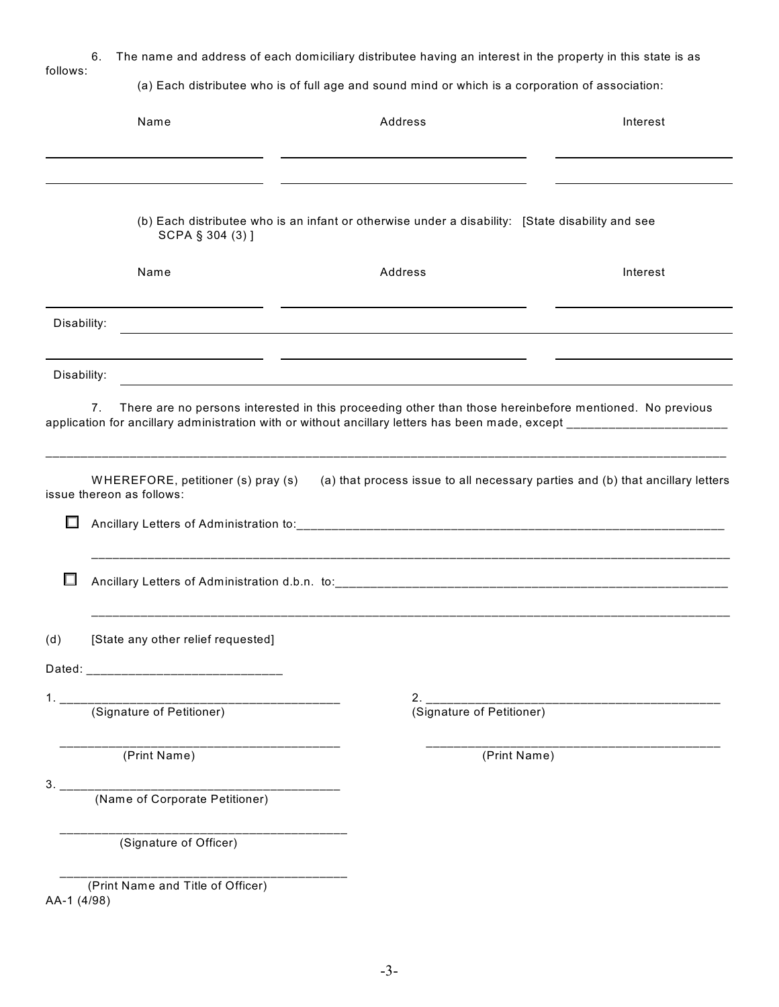| 6.<br>follows: |                                                                 | The name and address of each domiciliary distributee having an interest in the property in this state is as |          |
|----------------|-----------------------------------------------------------------|-------------------------------------------------------------------------------------------------------------|----------|
|                |                                                                 | (a) Each distributee who is of full age and sound mind or which is a corporation of association:            |          |
|                | Name                                                            | Address                                                                                                     | Interest |
|                |                                                                 |                                                                                                             |          |
|                | SCPA § 304 (3) ]                                                | (b) Each distributee who is an infant or otherwise under a disability: [State disability and see            |          |
|                | Name                                                            | Address                                                                                                     | Interest |
| Disability:    |                                                                 |                                                                                                             |          |
| Disability:    |                                                                 |                                                                                                             |          |
| 7.             |                                                                 | There are no persons interested in this proceeding other than those hereinbefore mentioned. No previous     |          |
| ш              | WHEREFORE, petitioner (s) pray (s)<br>issue thereon as follows: | (a) that process issue to all necessary parties and (b) that ancillary letters                              |          |
| ш              |                                                                 |                                                                                                             |          |
| (d)            | [State any other relief requested]                              |                                                                                                             |          |
|                |                                                                 |                                                                                                             |          |
|                | (Signature of Petitioner)<br>(Signature of Petitioner)          |                                                                                                             |          |
|                | (Print Name)                                                    | (Print Name)                                                                                                |          |
| 3.             | (Name of Corporate Petitioner)                                  |                                                                                                             |          |
|                | (Signature of Officer)                                          |                                                                                                             |          |
| AA-1 (4/98)    | (Print Name and Title of Officer)                               |                                                                                                             |          |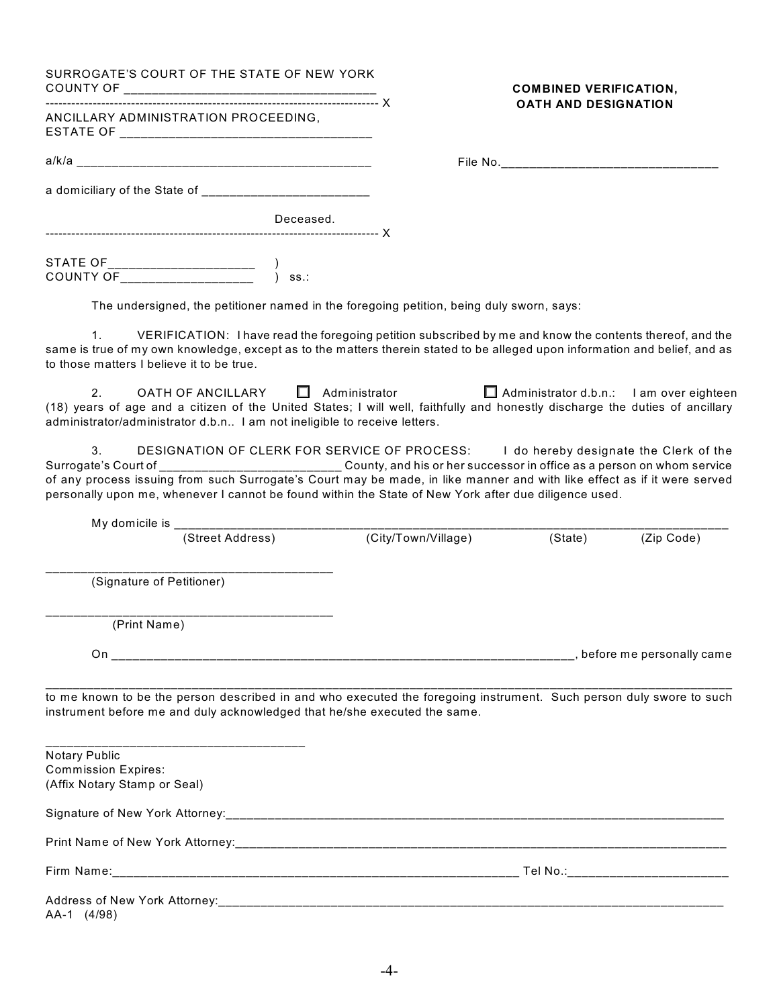| SURROGATE'S COURT OF THE STATE OF NEW YORK                                                                                                                                                                                                                                                                                                                                                                                                                  |                     | <b>COMBINED VERIFICATION,</b>                   |            |
|-------------------------------------------------------------------------------------------------------------------------------------------------------------------------------------------------------------------------------------------------------------------------------------------------------------------------------------------------------------------------------------------------------------------------------------------------------------|---------------------|-------------------------------------------------|------------|
| ANCILLARY ADMINISTRATION PROCEEDING,                                                                                                                                                                                                                                                                                                                                                                                                                        |                     | <b>OATH AND DESIGNATION</b>                     |            |
|                                                                                                                                                                                                                                                                                                                                                                                                                                                             |                     |                                                 |            |
|                                                                                                                                                                                                                                                                                                                                                                                                                                                             |                     |                                                 |            |
| Deceased.                                                                                                                                                                                                                                                                                                                                                                                                                                                   |                     |                                                 |            |
|                                                                                                                                                                                                                                                                                                                                                                                                                                                             |                     |                                                 |            |
| The undersigned, the petitioner named in the foregoing petition, being duly sworn, says:                                                                                                                                                                                                                                                                                                                                                                    |                     |                                                 |            |
| VERIFICATION: I have read the foregoing petition subscribed by me and know the contents thereof, and the<br>1.<br>same is true of my own knowledge, except as to the matters therein stated to be alleged upon information and belief, and as<br>to those matters I believe it to be true.                                                                                                                                                                  |                     |                                                 |            |
| OATH OF ANCILLARY □ Administrator<br>2 <sub>1</sub><br>(18) years of age and a citizen of the United States; I will well, faithfully and honestly discharge the duties of ancillary<br>administrator/administrator d.b.n I am not ineligible to receive letters.                                                                                                                                                                                            |                     | $\Box$ Administrator d.b.n.: I am over eighteen |            |
| 3.<br>DESIGNATION OF CLERK FOR SERVICE OF PROCESS: I do hereby designate the Clerk of the<br>Surrogate's Court of ______________________________County, and his or her successor in office as a person on whom service<br>of any process issuing from such Surrogate's Court may be made, in like manner and with like effect as if it were served<br>personally upon me, whenever I cannot be found within the State of New York after due diligence used. |                     |                                                 |            |
|                                                                                                                                                                                                                                                                                                                                                                                                                                                             |                     |                                                 |            |
| (Street Address)                                                                                                                                                                                                                                                                                                                                                                                                                                            | (City/Town/Village) | (State)                                         | (Zip Code) |
| (Signature of Petitioner)                                                                                                                                                                                                                                                                                                                                                                                                                                   |                     |                                                 |            |
| (Print Name)                                                                                                                                                                                                                                                                                                                                                                                                                                                |                     |                                                 |            |
|                                                                                                                                                                                                                                                                                                                                                                                                                                                             |                     |                                                 |            |
| to me known to be the person described in and who executed the foregoing instrument. Such person duly swore to such<br>instrument before me and duly acknowledged that he/she executed the same.                                                                                                                                                                                                                                                            |                     |                                                 |            |
| <b>Notary Public</b><br><b>Commission Expires:</b><br>(Affix Notary Stamp or Seal)                                                                                                                                                                                                                                                                                                                                                                          |                     |                                                 |            |
|                                                                                                                                                                                                                                                                                                                                                                                                                                                             |                     |                                                 |            |
|                                                                                                                                                                                                                                                                                                                                                                                                                                                             |                     |                                                 |            |
|                                                                                                                                                                                                                                                                                                                                                                                                                                                             |                     |                                                 |            |
| AA-1 (4/98)                                                                                                                                                                                                                                                                                                                                                                                                                                                 |                     |                                                 |            |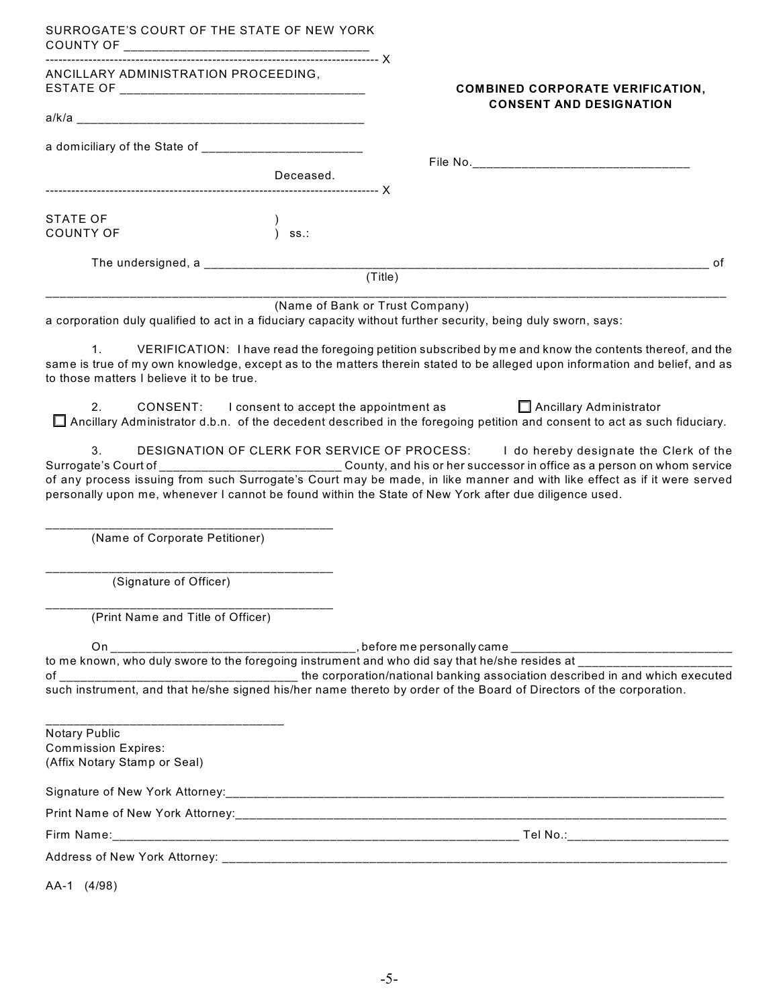| SURROGATE'S COURT OF THE STATE OF NEW YORK                                  |           |                                                                                                                                                                                                                                                                                                                                                                                                                                                       |
|-----------------------------------------------------------------------------|-----------|-------------------------------------------------------------------------------------------------------------------------------------------------------------------------------------------------------------------------------------------------------------------------------------------------------------------------------------------------------------------------------------------------------------------------------------------------------|
| ANCILLARY ADMINISTRATION PROCEEDING,                                        |           | <b>COMBINED CORPORATE VERIFICATION,</b>                                                                                                                                                                                                                                                                                                                                                                                                               |
|                                                                             |           | <b>CONSENT AND DESIGNATION</b>                                                                                                                                                                                                                                                                                                                                                                                                                        |
| a domiciliary of the State of _________________________                     |           |                                                                                                                                                                                                                                                                                                                                                                                                                                                       |
|                                                                             | Deceased. |                                                                                                                                                                                                                                                                                                                                                                                                                                                       |
| <b>STATE OF</b><br><b>COUNTY OF</b>                                         | ss.:      |                                                                                                                                                                                                                                                                                                                                                                                                                                                       |
|                                                                             |           | of                                                                                                                                                                                                                                                                                                                                                                                                                                                    |
|                                                                             |           | (Title)                                                                                                                                                                                                                                                                                                                                                                                                                                               |
|                                                                             |           | (Name of Bank or Trust Company)<br>a corporation duly qualified to act in a fiduciary capacity without further security, being duly sworn, says:                                                                                                                                                                                                                                                                                                      |
| $1_{\cdot}$<br>to those matters I believe it to be true.                    |           | VERIFICATION: I have read the foregoing petition subscribed by me and know the contents thereof, and the<br>same is true of my own knowledge, except as to the matters therein stated to be alleged upon information and belief, and as                                                                                                                                                                                                               |
| 2.                                                                          |           | CONSENT: I consent to accept the appointment as<br>Ancillary Administrator<br>Ancillary Administrator d.b.n. of the decedent described in the foregoing petition and consent to act as such fiduciary.                                                                                                                                                                                                                                                |
| 3.                                                                          |           | DESIGNATION OF CLERK FOR SERVICE OF PROCESS: I do hereby designate the Clerk of the<br>Surrogate's Court of ______________________________County, and his or her successor in office as a person on whom service<br>of any process issuing from such Surrogate's Court may be made, in like manner and with like effect as if it were served<br>personally upon me, whenever I cannot be found within the State of New York after due diligence used. |
| (Name of Corporate Petitioner)                                              |           |                                                                                                                                                                                                                                                                                                                                                                                                                                                       |
| (Signature of Officer)                                                      |           |                                                                                                                                                                                                                                                                                                                                                                                                                                                       |
| (Print Name and Title of Officer)                                           |           |                                                                                                                                                                                                                                                                                                                                                                                                                                                       |
|                                                                             |           | to me known, who duly swore to the foregoing instrument and who did say that he/she resides at ______________                                                                                                                                                                                                                                                                                                                                         |
| Notary Public<br><b>Commission Expires:</b><br>(Affix Notary Stamp or Seal) |           |                                                                                                                                                                                                                                                                                                                                                                                                                                                       |
|                                                                             |           |                                                                                                                                                                                                                                                                                                                                                                                                                                                       |
|                                                                             |           |                                                                                                                                                                                                                                                                                                                                                                                                                                                       |
|                                                                             |           |                                                                                                                                                                                                                                                                                                                                                                                                                                                       |
|                                                                             |           |                                                                                                                                                                                                                                                                                                                                                                                                                                                       |
|                                                                             |           |                                                                                                                                                                                                                                                                                                                                                                                                                                                       |

AA-1 (4/98)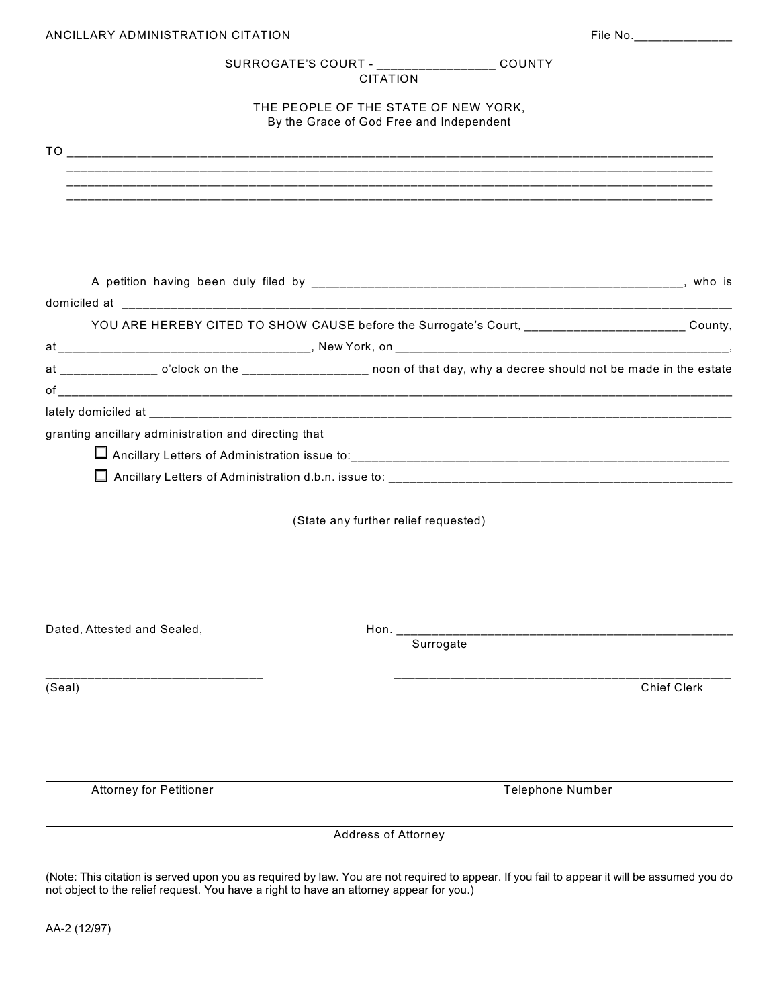| ANCILLARY ADMINISTRATION CITATION                                                                                  |                     | File No.________________                                                                       |                    |
|--------------------------------------------------------------------------------------------------------------------|---------------------|------------------------------------------------------------------------------------------------|--------------------|
|                                                                                                                    | <b>CITATION</b>     | SURROGATE'S COURT - __________________ COUNTY                                                  |                    |
| THE PEOPLE OF THE STATE OF NEW YORK,<br>By the Grace of God Free and Independent                                   |                     |                                                                                                |                    |
|                                                                                                                    |                     |                                                                                                |                    |
|                                                                                                                    |                     |                                                                                                |                    |
|                                                                                                                    |                     |                                                                                                |                    |
|                                                                                                                    |                     |                                                                                                |                    |
|                                                                                                                    |                     | YOU ARE HEREBY CITED TO SHOW CAUSE before the Surrogate's Court, ______________________County, |                    |
|                                                                                                                    |                     |                                                                                                |                    |
| at ______________ o'clock on the _________________ noon of that day, why a decree should not be made in the estate |                     |                                                                                                |                    |
|                                                                                                                    |                     |                                                                                                |                    |
| granting ancillary administration and directing that                                                               |                     |                                                                                                |                    |
|                                                                                                                    |                     |                                                                                                |                    |
|                                                                                                                    |                     |                                                                                                |                    |
|                                                                                                                    |                     | (State any further relief requested)                                                           |                    |
|                                                                                                                    |                     |                                                                                                |                    |
| Dated, Attested and Sealed,                                                                                        |                     |                                                                                                |                    |
|                                                                                                                    |                     | Surrogate                                                                                      |                    |
| (Seal)                                                                                                             |                     |                                                                                                | <b>Chief Clerk</b> |
|                                                                                                                    |                     |                                                                                                |                    |
| <b>Attorney for Petitioner</b>                                                                                     |                     | <b>Telephone Number</b>                                                                        |                    |
|                                                                                                                    | Address of Attorney |                                                                                                |                    |

(Note: This citation is served upon you as required by law. You are not required to appear. If you fail to appear it will be assumed you do not object to the relief request. You have a right to have an attorney appear for you.)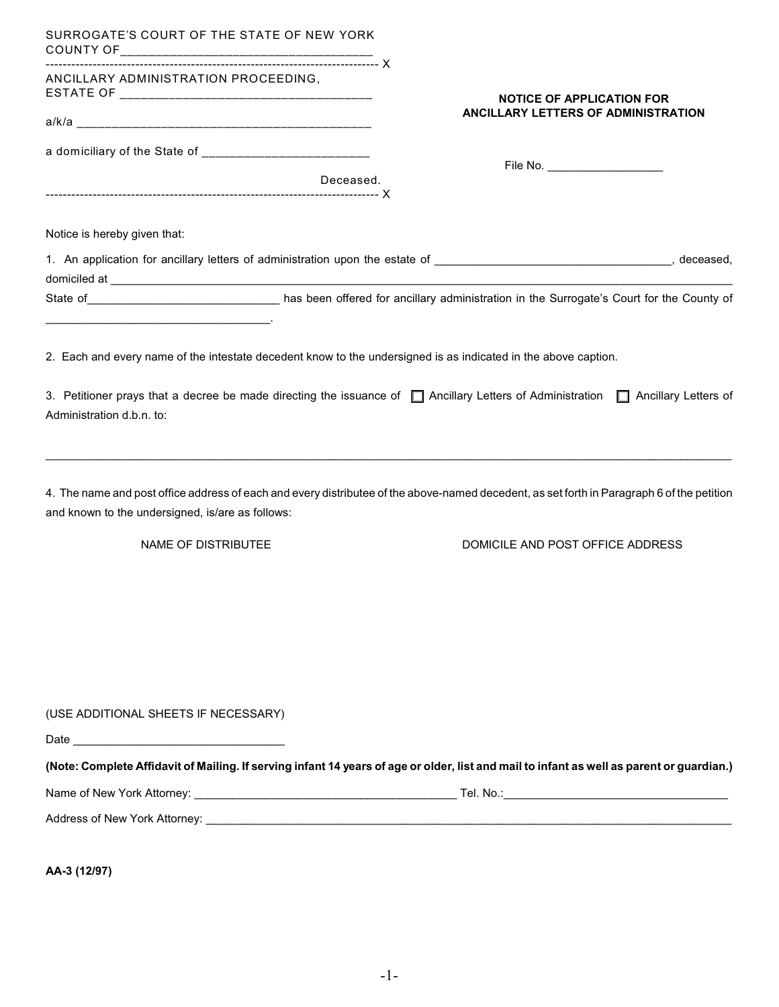| SURROGATE'S COURT OF THE STATE OF NEW YORK                                                                     |                                                                                                                                            |
|----------------------------------------------------------------------------------------------------------------|--------------------------------------------------------------------------------------------------------------------------------------------|
| ANCILLARY ADMINISTRATION PROCEEDING,                                                                           | <b>NOTICE OF APPLICATION FOR</b>                                                                                                           |
|                                                                                                                | ANCILLARY LETTERS OF ADMINISTRATION                                                                                                        |
|                                                                                                                |                                                                                                                                            |
| Deceased.                                                                                                      | File No. _____________________                                                                                                             |
| Notice is hereby given that:                                                                                   |                                                                                                                                            |
|                                                                                                                |                                                                                                                                            |
|                                                                                                                | State of County of Ass been offered for ancillary administration in the Surrogate's Court for the County of                                |
| 2. Each and every name of the intestate decedent know to the undersigned is as indicated in the above caption. |                                                                                                                                            |
| Administration d.b.n. to:                                                                                      | 3. Petitioner prays that a decree be made directing the issuance of $\Box$ Ancillary Letters of Administration $\Box$ Ancillary Letters of |
| and known to the undersigned, is/are as follows:                                                               | 4. The name and post office address of each and every distributee of the above-named decedent, as set forth in Paragraph 6 of the petition |
| <b>NAME OF DISTRIBUTEE</b>                                                                                     | DOMICILE AND POST OFFICE ADDRESS                                                                                                           |
|                                                                                                                |                                                                                                                                            |
| (USE ADDITIONAL SHEETS IF NECESSARY)                                                                           |                                                                                                                                            |
|                                                                                                                |                                                                                                                                            |
|                                                                                                                | (Note: Complete Affidavit of Mailing. If serving infant 14 years of age or older, list and mail to infant as well as parent or guardian.)  |
|                                                                                                                |                                                                                                                                            |
|                                                                                                                |                                                                                                                                            |
|                                                                                                                |                                                                                                                                            |
| AA-3 (12/97)                                                                                                   |                                                                                                                                            |